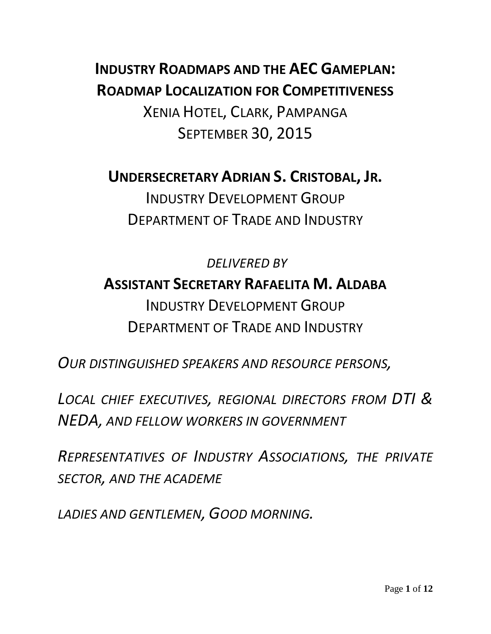**INDUSTRY ROADMAPS AND THE AEC GAMEPLAN: ROADMAP LOCALIZATION FOR COMPETITIVENESS** XENIA HOTEL, CLARK, PAMPANGA SEPTEMBER 30, 2015

**UNDERSECRETARY ADRIAN S. CRISTOBAL, JR.**

INDUSTRY DEVELOPMENT GROUP DEPARTMENT OF TRADE AND INDUSTRY

*DELIVERED BY* **ASSISTANT SECRETARY RAFAELITA M. ALDABA** INDUSTRY DEVELOPMENT GROUP DEPARTMENT OF TRADE AND INDUSTRY

*OUR DISTINGUISHED SPEAKERS AND RESOURCE PERSONS,*

*LOCAL CHIEF EXECUTIVES, REGIONAL DIRECTORS FROM DTI & NEDA, AND FELLOW WORKERS IN GOVERNMENT*

*REPRESENTATIVES OF INDUSTRY ASSOCIATIONS, THE PRIVATE SECTOR, AND THE ACADEME*

*LADIES AND GENTLEMEN, GOOD MORNING.*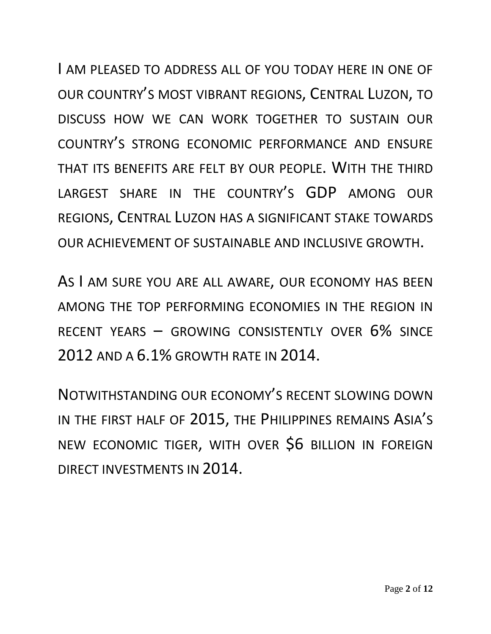I AM PLEASED TO ADDRESS ALL OF YOU TODAY HERE IN ONE OF OUR COUNTRY'S MOST VIBRANT REGIONS, CENTRAL LUZON, TO DISCUSS HOW WE CAN WORK TOGETHER TO SUSTAIN OUR COUNTRY'S STRONG ECONOMIC PERFORMANCE AND ENSURE THAT ITS BENEFITS ARE FELT BY OUR PEOPLE. WITH THE THIRD LARGEST SHARE IN THE COUNTRY'S GDP AMONG OUR REGIONS, CENTRAL LUZON HAS A SIGNIFICANT STAKE TOWARDS OUR ACHIEVEMENT OF SUSTAINABLE AND INCLUSIVE GROWTH.

AS I AM SURE YOU ARE ALL AWARE, OUR ECONOMY HAS BEEN AMONG THE TOP PERFORMING ECONOMIES IN THE REGION IN RECENT YEARS – GROWING CONSISTENTLY OVER 6% SINCE 2012 AND A 6.1% GROWTH RATE IN 2014.

NOTWITHSTANDING OUR ECONOMY'S RECENT SLOWING DOWN IN THE FIRST HALF OF 2015, THE PHILIPPINES REMAINS ASIA'S NEW ECONOMIC TIGER, WITH OVER \$6 BILLION IN FOREIGN DIRECT INVESTMENTS IN 2014.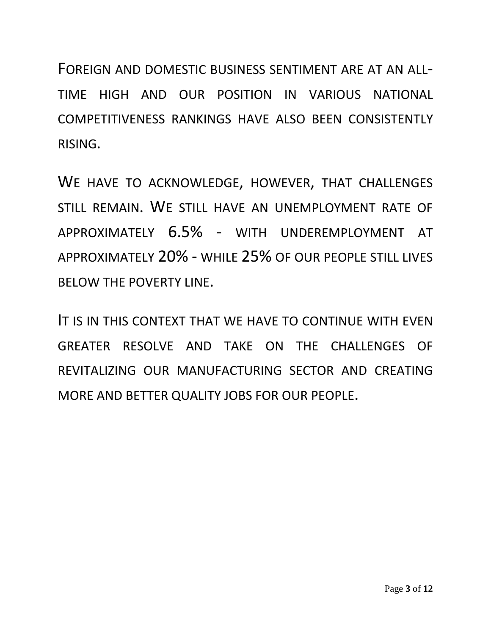FOREIGN AND DOMESTIC BUSINESS SENTIMENT ARE AT AN ALL-TIME HIGH AND OUR POSITION IN VARIOUS NATIONAL COMPETITIVENESS RANKINGS HAVE ALSO BEEN CONSISTENTLY RISING.

WE HAVE TO ACKNOWLEDGE, HOWEVER, THAT CHALLENGES STILL REMAIN. WE STILL HAVE AN UNEMPLOYMENT RATE OF APPROXIMATELY 6.5% - WITH UNDEREMPLOYMENT AT APPROXIMATELY 20% - WHILE 25% OF OUR PEOPLE STILL LIVES BELOW THE POVERTY LINE.

IT IS IN THIS CONTEXT THAT WE HAVE TO CONTINUE WITH EVEN GREATER RESOLVE AND TAKE ON THE CHALLENGES OF REVITALIZING OUR MANUFACTURING SECTOR AND CREATING MORE AND BETTER QUALITY JOBS FOR OUR PEOPLE.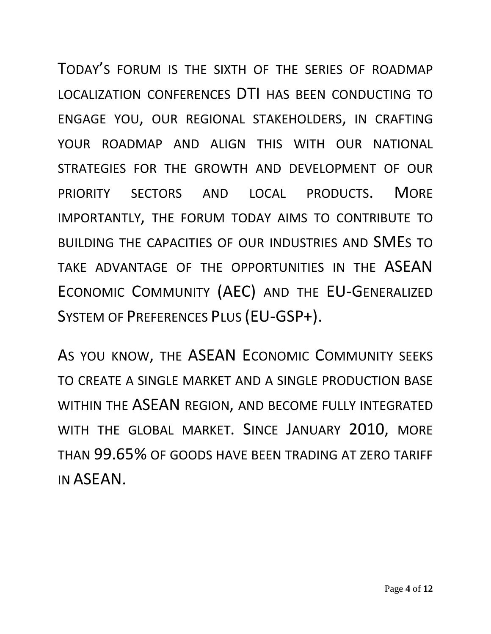TODAY'S FORUM IS THE SIXTH OF THE SERIES OF ROADMAP LOCALIZATION CONFERENCES DTI HAS BEEN CONDUCTING TO ENGAGE YOU, OUR REGIONAL STAKEHOLDERS, IN CRAFTING YOUR ROADMAP AND ALIGN THIS WITH OUR NATIONAL STRATEGIES FOR THE GROWTH AND DEVELOPMENT OF OUR PRIORITY SECTORS AND LOCAL PRODUCTS. MORE IMPORTANTLY, THE FORUM TODAY AIMS TO CONTRIBUTE TO BUILDING THE CAPACITIES OF OUR INDUSTRIES AND SMES TO TAKE ADVANTAGE OF THE OPPORTUNITIES IN THE ASEAN ECONOMIC COMMUNITY (AEC) AND THE EU-GENERALIZED SYSTEM OF PREFERENCES PLUS (EU-GSP+).

AS YOU KNOW, THE ASEAN ECONOMIC COMMUNITY SEEKS TO CREATE A SINGLE MARKET AND A SINGLE PRODUCTION BASE WITHIN THE ASEAN REGION, AND BECOME FULLY INTEGRATED WITH THE GLOBAL MARKET. SINCE JANUARY 2010, MORE THAN 99.65% OF GOODS HAVE BEEN TRADING AT ZERO TARIFF IN ASEAN.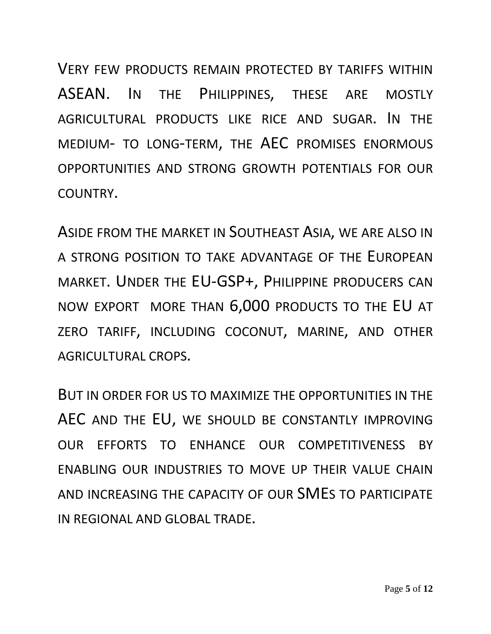VERY FEW PRODUCTS REMAIN PROTECTED BY TARIFFS WITHIN ASEAN. IN THE PHILIPPINES, THESE ARE MOSTLY AGRICULTURAL PRODUCTS LIKE RICE AND SUGAR. IN THE MEDIUM- TO LONG-TERM, THE AEC PROMISES ENORMOUS OPPORTUNITIES AND STRONG GROWTH POTENTIALS FOR OUR COUNTRY.

ASIDE FROM THE MARKET IN SOUTHEAST ASIA, WE ARE ALSO IN A STRONG POSITION TO TAKE ADVANTAGE OF THE EUROPEAN MARKET. UNDER THE EU-GSP+, PHILIPPINE PRODUCERS CAN NOW EXPORT MORE THAN 6,000 PRODUCTS TO THE EU AT ZERO TARIFF, INCLUDING COCONUT, MARINE, AND OTHER AGRICULTURAL CROPS.

BUT IN ORDER FOR US TO MAXIMIZE THE OPPORTUNITIES IN THE AEC AND THE EU, WE SHOULD BE CONSTANTLY IMPROVING OUR EFFORTS TO ENHANCE OUR COMPETITIVENESS BY ENABLING OUR INDUSTRIES TO MOVE UP THEIR VALUE CHAIN AND INCREASING THE CAPACITY OF OUR SMES TO PARTICIPATE IN REGIONAL AND GLOBAL TRADE.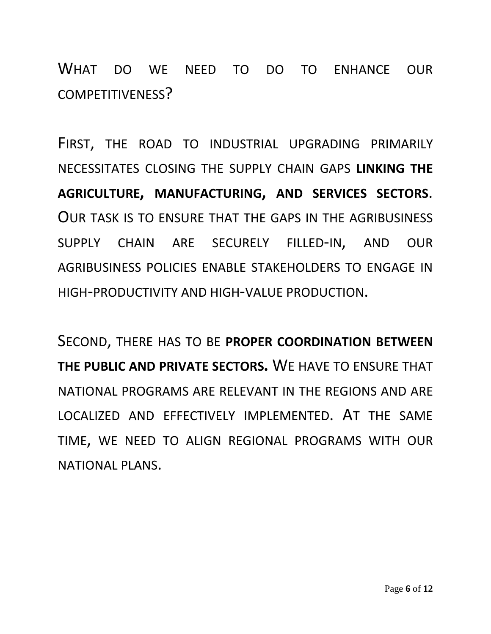WHAT DO WE NEED TO DO TO ENHANCE OUR COMPETITIVENESS?

FIRST, THE ROAD TO INDUSTRIAL UPGRADING PRIMARILY NECESSITATES CLOSING THE SUPPLY CHAIN GAPS **LINKING THE AGRICULTURE, MANUFACTURING, AND SERVICES SECTORS**. OUR TASK IS TO ENSURE THAT THE GAPS IN THE AGRIBUSINESS SUPPLY CHAIN ARE SECURELY FILLED-IN, AND OUR AGRIBUSINESS POLICIES ENABLE STAKEHOLDERS TO ENGAGE IN HIGH-PRODUCTIVITY AND HIGH-VALUE PRODUCTION.

SECOND, THERE HAS TO BE **PROPER COORDINATION BETWEEN THE PUBLIC AND PRIVATE SECTORS.** WE HAVE TO ENSURE THAT NATIONAL PROGRAMS ARE RELEVANT IN THE REGIONS AND ARE LOCALIZED AND EFFECTIVELY IMPLEMENTED. AT THE SAME TIME, WE NEED TO ALIGN REGIONAL PROGRAMS WITH OUR NATIONAL PLANS.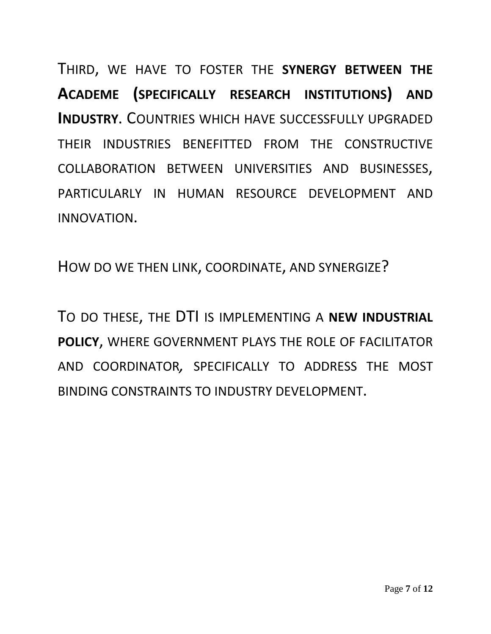THIRD, WE HAVE TO FOSTER THE **SYNERGY BETWEEN THE ACADEME (SPECIFICALLY RESEARCH INSTITUTIONS) AND INDUSTRY**. COUNTRIES WHICH HAVE SUCCESSFULLY UPGRADED THEIR INDUSTRIES BENEFITTED FROM THE CONSTRUCTIVE COLLABORATION BETWEEN UNIVERSITIES AND BUSINESSES, PARTICULARLY IN HUMAN RESOURCE DEVELOPMENT AND INNOVATION.

HOW DO WE THEN LINK, COORDINATE, AND SYNERGIZE?

TO DO THESE, THE DTI IS IMPLEMENTING A **NEW INDUSTRIAL POLICY**, WHERE GOVERNMENT PLAYS THE ROLE OF FACILITATOR AND COORDINATOR*,* SPECIFICALLY TO ADDRESS THE MOST BINDING CONSTRAINTS TO INDUSTRY DEVELOPMENT.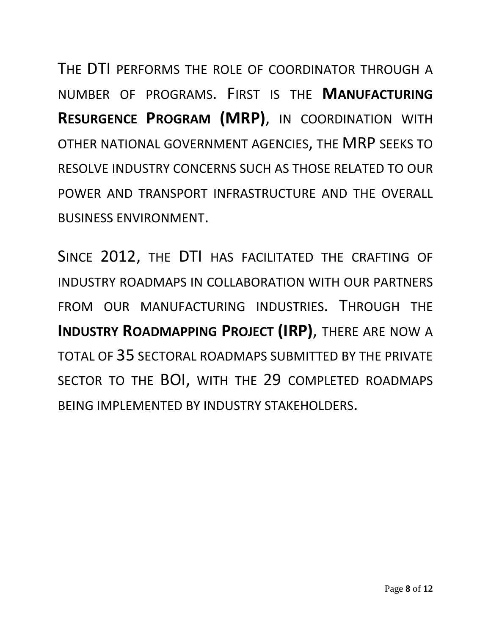THE DTI PERFORMS THE ROLE OF COORDINATOR THROUGH A NUMBER OF PROGRAMS. FIRST IS THE **MANUFACTURING RESURGENCE PROGRAM (MRP)**, IN COORDINATION WITH OTHER NATIONAL GOVERNMENT AGENCIES, THE MRP SEEKS TO RESOLVE INDUSTRY CONCERNS SUCH AS THOSE RELATED TO OUR POWER AND TRANSPORT INFRASTRUCTURE AND THE OVERALL BUSINESS ENVIRONMENT.

SINCE 2012, THE DTI HAS FACILITATED THE CRAFTING OF INDUSTRY ROADMAPS IN COLLABORATION WITH OUR PARTNERS FROM OUR MANUFACTURING INDUSTRIES. THROUGH THE **INDUSTRY ROADMAPPING PROJECT (IRP)**, THERE ARE NOW A TOTAL OF 35 SECTORAL ROADMAPS SUBMITTED BY THE PRIVATE SECTOR TO THE BOI, WITH THE 29 COMPLETED ROADMAPS BEING IMPLEMENTED BY INDUSTRY STAKEHOLDERS.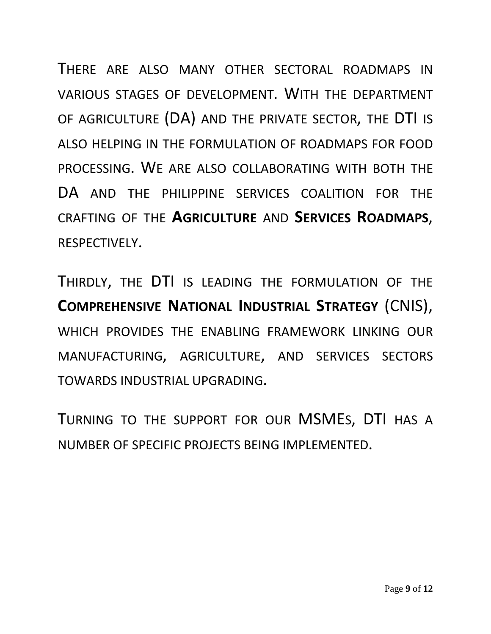THERE ARE ALSO MANY OTHER SECTORAL ROADMAPS IN VARIOUS STAGES OF DEVELOPMENT. WITH THE DEPARTMENT OF AGRICULTURE (DA) AND THE PRIVATE SECTOR, THE DTI IS ALSO HELPING IN THE FORMULATION OF ROADMAPS FOR FOOD PROCESSING. WE ARE ALSO COLLABORATING WITH BOTH THE DA AND THE PHILIPPINE SERVICES COALITION FOR THE CRAFTING OF THE **AGRICULTURE** AND **SERVICES ROADMAPS**, RESPECTIVELY.

THIRDLY, THE DTI IS LEADING THE FORMULATION OF THE **COMPREHENSIVE NATIONAL INDUSTRIAL STRATEGY** (CNIS), WHICH PROVIDES THE ENABLING FRAMEWORK LINKING OUR MANUFACTURING, AGRICULTURE, AND SERVICES SECTORS TOWARDS INDUSTRIAL UPGRADING.

TURNING TO THE SUPPORT FOR OUR MSMES, DTI HAS A NUMBER OF SPECIFIC PROJECTS BEING IMPLEMENTED.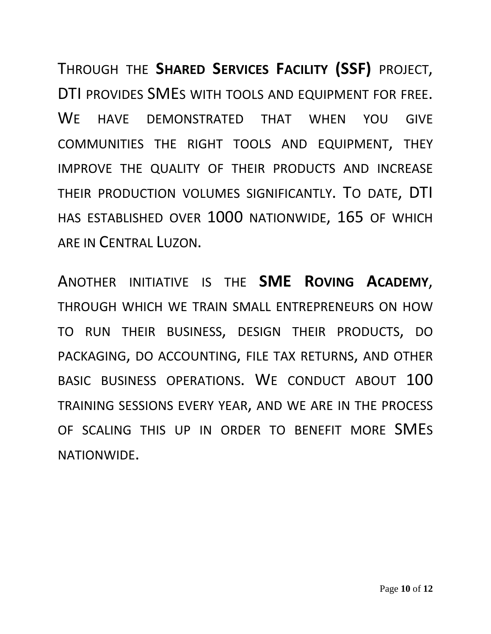THROUGH THE **SHARED SERVICES FACILITY (SSF)** PROJECT, DTI PROVIDES SMES WITH TOOLS AND EQUIPMENT FOR FREE. WE HAVE DEMONSTRATED THAT WHEN YOU GIVE COMMUNITIES THE RIGHT TOOLS AND EQUIPMENT, THEY IMPROVE THE QUALITY OF THEIR PRODUCTS AND INCREASE THEIR PRODUCTION VOLUMES SIGNIFICANTLY. TO DATE, DTI HAS ESTABLISHED OVER 1000 NATIONWIDE, 165 OF WHICH ARE IN CENTRAL LUZON.

ANOTHER INITIATIVE IS THE **SME ROVING ACADEMY**, THROUGH WHICH WE TRAIN SMALL ENTREPRENEURS ON HOW TO RUN THEIR BUSINESS, DESIGN THEIR PRODUCTS, DO PACKAGING, DO ACCOUNTING, FILE TAX RETURNS, AND OTHER BASIC BUSINESS OPERATIONS. WE CONDUCT ABOUT 100 TRAINING SESSIONS EVERY YEAR, AND WE ARE IN THE PROCESS OF SCALING THIS UP IN ORDER TO BENEFIT MORE SMES NATIONWIDE.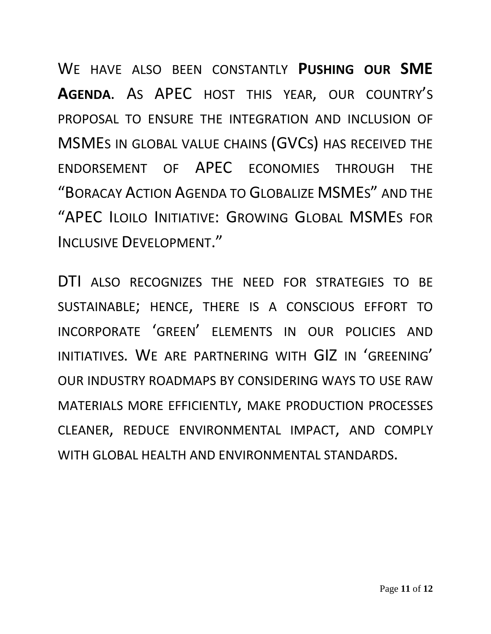WE HAVE ALSO BEEN CONSTANTLY **PUSHING OUR SME AGENDA**. AS APEC HOST THIS YEAR, OUR COUNTRY'S PROPOSAL TO ENSURE THE INTEGRATION AND INCLUSION OF MSMES IN GLOBAL VALUE CHAINS (GVCS) HAS RECEIVED THE ENDORSEMENT OF APEC ECONOMIES THROUGH THE "BORACAY ACTION AGENDA TO GLOBALIZE MSMES" AND THE "APEC ILOILO INITIATIVE: GROWING GLOBAL MSMES FOR INCLUSIVE DEVELOPMENT."

DTI ALSO RECOGNIZES THE NEED FOR STRATEGIES TO BE SUSTAINABLE; HENCE, THERE IS A CONSCIOUS EFFORT TO INCORPORATE 'GREEN' ELEMENTS IN OUR POLICIES AND INITIATIVES. WE ARE PARTNERING WITH GIZ IN 'GREENING' OUR INDUSTRY ROADMAPS BY CONSIDERING WAYS TO USE RAW MATERIALS MORE EFFICIENTLY, MAKE PRODUCTION PROCESSES CLEANER, REDUCE ENVIRONMENTAL IMPACT, AND COMPLY WITH GLOBAL HEALTH AND ENVIRONMENTAL STANDARDS.